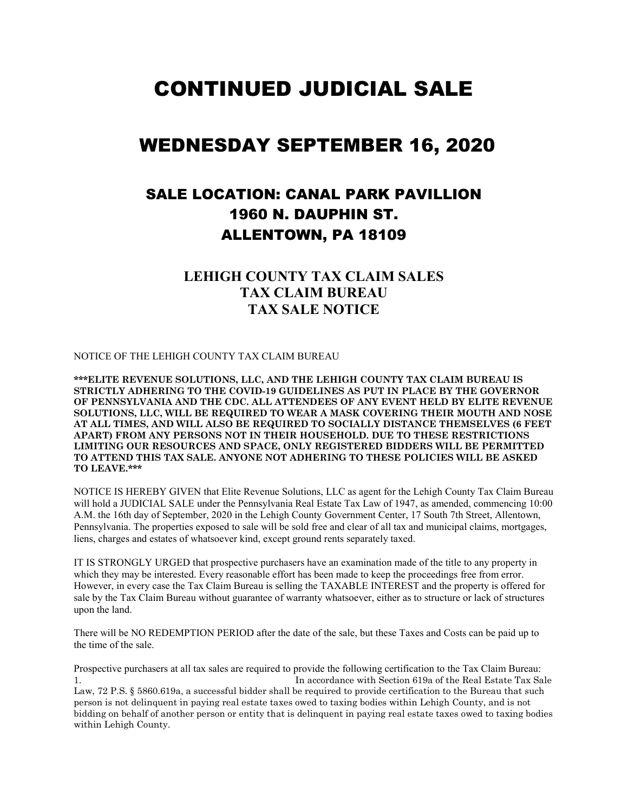# CONTINUED JUDICIAL SALE

# WEDNESDAY SEPTEMBER 16, 2020

## SALE LOCATION: CANAL PARK PAVILLION 1960 N. DAUPHIN ST. ALLENTOWN, PA 18109

#### **LEHIGH COUNTY TAX CLAIM SALES TAX CLAIM BUREAU TAX SALE NOTICE**

NOTICE OF THE LEHIGH COUNTY TAX CLAIM BUREAU

**\*\*\*ELITE REVENUE SOLUTIONS, LLC, AND THE LEHIGH COUNTY TAX CLAIM BUREAU IS STRICTLY ADHERING TO THE COVID-19 GUIDELINES AS PUT IN PLACE BY THE GOVERNOR OF PENNSYLVANIA AND THE CDC. ALL ATTENDEES OF ANY EVENT HELD BY ELITE REVENUE SOLUTIONS, LLC, WILL BE REQUIRED TO WEAR A MASK COVERING THEIR MOUTH AND NOSE AT ALL TIMES, AND WILL ALSO BE REQUIRED TO SOCIALLY DISTANCE THEMSELVES (6 FEET APART) FROM ANY PERSONS NOT IN THEIR HOUSEHOLD. DUE TO THESE RESTRICTIONS LIMITING OUR RESOURCES AND SPACE, ONLY REGISTERED BIDDERS WILL BE PERMITTED TO ATTEND THIS TAX SALE. ANYONE NOT ADHERING TO THESE POLICIES WILL BE ASKED TO LEAVE.\*\*\***

NOTICE IS HEREBY GIVEN that Elite Revenue Solutions, LLC as agent for the Lehigh County Tax Claim Bureau will hold a JUDICIAL SALE under the Pennsylvania Real Estate Tax Law of 1947, as amended, commencing 10:00 A.M. the 16th day of September, 2020 in the Lehigh County Government Center, 17 South 7th Street, Allentown, Pennsylvania. The properties exposed to sale will be sold free and clear of all tax and municipal claims, mortgages, liens, charges and estates of whatsoever kind, except ground rents separately taxed.

IT IS STRONGLY URGED that prospective purchasers have an examination made of the title to any property in which they may be interested. Every reasonable effort has been made to keep the proceedings free from error. However, in every case the Tax Claim Bureau is selling the TAXABLE INTEREST and the property is offered for sale by the Tax Claim Bureau without guarantee of warranty whatsoever, either as to structure or lack of structures upon the land.

There will be NO REDEMPTION PERIOD after the date of the sale, but these Taxes and Costs can be paid up to the time of the sale.

Prospective purchasers at all tax sales are required to provide the following certification to the Tax Claim Bureau: 1. In accordance with Section 619a of the Real Estate Tax Sale Law, 72 P.S. § 5860.619a, a successful bidder shall be required to provide certification to the Bureau that such person is not delinquent in paying real estate taxes owed to taxing bodies within Lehigh County, and is not bidding on behalf of another person or entity that is delinquent in paying real estate taxes owed to taxing bodies within Lehigh County.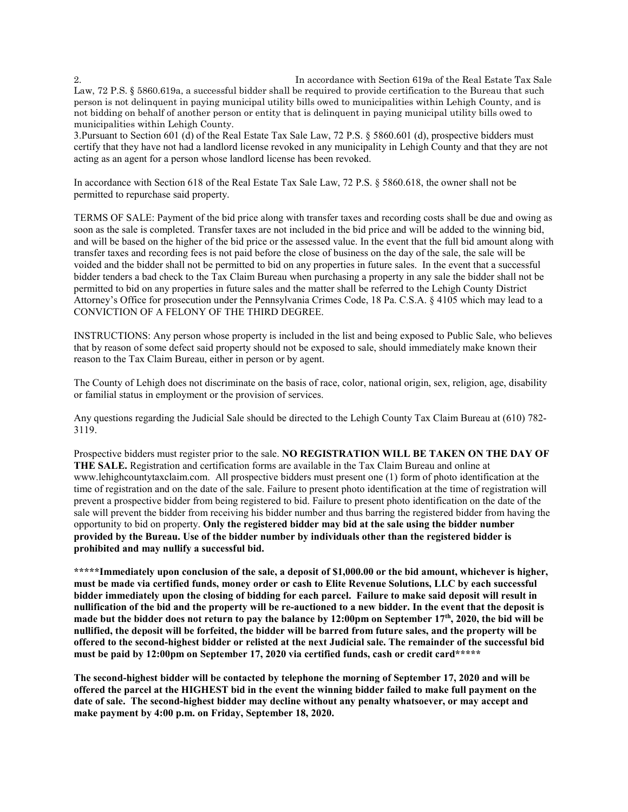2. In accordance with Section 619a of the Real Estate Tax Sale Law, 72 P.S. § 5860.619a, a successful bidder shall be required to provide certification to the Bureau that such person is not delinquent in paying municipal utility bills owed to municipalities within Lehigh County, and is not bidding on behalf of another person or entity that is delinquent in paying municipal utility bills owed to municipalities within Lehigh County.

3.Pursuant to Section 601 (d) of the Real Estate Tax Sale Law, 72 P.S. § 5860.601 (d), prospective bidders must certify that they have not had a landlord license revoked in any municipality in Lehigh County and that they are not acting as an agent for a person whose landlord license has been revoked.

In accordance with Section 618 of the Real Estate Tax Sale Law, 72 P.S. § 5860.618, the owner shall not be permitted to repurchase said property.

TERMS OF SALE: Payment of the bid price along with transfer taxes and recording costs shall be due and owing as soon as the sale is completed. Transfer taxes are not included in the bid price and will be added to the winning bid, and will be based on the higher of the bid price or the assessed value. In the event that the full bid amount along with transfer taxes and recording fees is not paid before the close of business on the day of the sale, the sale will be voided and the bidder shall not be permitted to bid on any properties in future sales. In the event that a successful bidder tenders a bad check to the Tax Claim Bureau when purchasing a property in any sale the bidder shall not be permitted to bid on any properties in future sales and the matter shall be referred to the Lehigh County District Attorney's Office for prosecution under the Pennsylvania Crimes Code, 18 Pa. C.S.A. § 4105 which may lead to a CONVICTION OF A FELONY OF THE THIRD DEGREE.

INSTRUCTIONS: Any person whose property is included in the list and being exposed to Public Sale, who believes that by reason of some defect said property should not be exposed to sale, should immediately make known their reason to the Tax Claim Bureau, either in person or by agent.

The County of Lehigh does not discriminate on the basis of race, color, national origin, sex, religion, age, disability or familial status in employment or the provision of services.

Any questions regarding the Judicial Sale should be directed to the Lehigh County Tax Claim Bureau at (610) 782- 3119.

Prospective bidders must register prior to the sale. **NO REGISTRATION WILL BE TAKEN ON THE DAY OF THE SALE.** Registration and certification forms are available in the Tax Claim Bureau and online at www.lehighcountytaxclaim.com. All prospective bidders must present one (1) form of photo identification at the time of registration and on the date of the sale. Failure to present photo identification at the time of registration will prevent a prospective bidder from being registered to bid. Failure to present photo identification on the date of the sale will prevent the bidder from receiving his bidder number and thus barring the registered bidder from having the opportunity to bid on property. **Only the registered bidder may bid at the sale using the bidder number provided by the Bureau. Use of the bidder number by individuals other than the registered bidder is prohibited and may nullify a successful bid.**

**\*\*\*\*\*Immediately upon conclusion of the sale, a deposit of \$1,000.00 or the bid amount, whichever is higher, must be made via certified funds, money order or cash to Elite Revenue Solutions, LLC by each successful bidder immediately upon the closing of bidding for each parcel. Failure to make said deposit will result in nullification of the bid and the property will be re-auctioned to a new bidder. In the event that the deposit is made but the bidder does not return to pay the balance by 12:00pm on September 17th, 2020, the bid will be nullified, the deposit will be forfeited, the bidder will be barred from future sales, and the property will be offered to the second-highest bidder or relisted at the next Judicial sale. The remainder of the successful bid must be paid by 12:00pm on September 17, 2020 via certified funds, cash or credit card\*\*\*\*\***

**The second-highest bidder will be contacted by telephone the morning of September 17, 2020 and will be offered the parcel at the HIGHEST bid in the event the winning bidder failed to make full payment on the date of sale. The second-highest bidder may decline without any penalty whatsoever, or may accept and make payment by 4:00 p.m. on Friday, September 18, 2020.**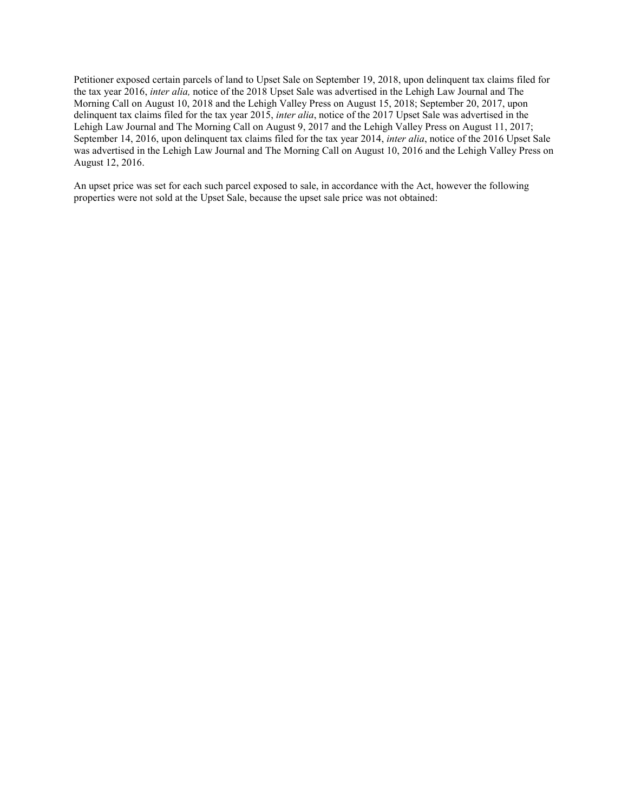Petitioner exposed certain parcels of land to Upset Sale on September 19, 2018, upon delinquent tax claims filed for the tax year 2016, *inter alia,* notice of the 2018 Upset Sale was advertised in the Lehigh Law Journal and The Morning Call on August 10, 2018 and the Lehigh Valley Press on August 15, 2018; September 20, 2017, upon delinquent tax claims filed for the tax year 2015, *inter alia*, notice of the 2017 Upset Sale was advertised in the Lehigh Law Journal and The Morning Call on August 9, 2017 and the Lehigh Valley Press on August 11, 2017; September 14, 2016, upon delinquent tax claims filed for the tax year 2014, *inter alia*, notice of the 2016 Upset Sale was advertised in the Lehigh Law Journal and The Morning Call on August 10, 2016 and the Lehigh Valley Press on August 12, 2016.

An upset price was set for each such parcel exposed to sale, in accordance with the Act, however the following properties were not sold at the Upset Sale, because the upset sale price was not obtained: